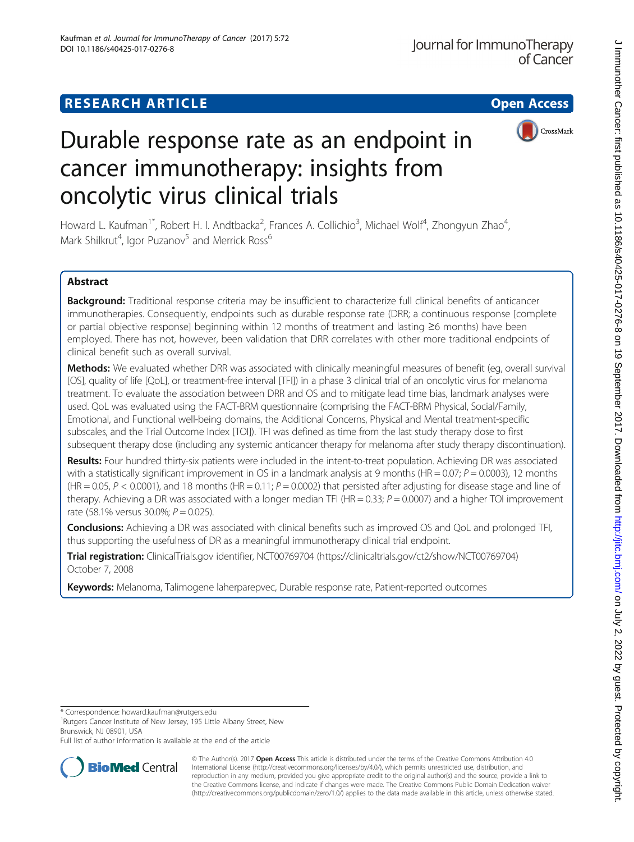## **RESEARCH ARTICLE External Structure Community Community Community Community Community Community Community Community**



# Durable response rate as an endpoint in cancer immunotherapy: insights from oncolytic virus clinical trials

Howard L. Kaufman<sup>1\*</sup>, Robert H. I. Andtbacka<sup>2</sup>, Frances A. Collichio<sup>3</sup>, Michael Wolf<sup>4</sup>, Zhongyun Zhao<sup>4</sup> , Mark Shilkrut<sup>4</sup>, Igor Puzanov<sup>5</sup> and Merrick Ross<sup>6</sup>

## Abstract

Background: Traditional response criteria may be insufficient to characterize full clinical benefits of anticancer immunotherapies. Consequently, endpoints such as durable response rate (DRR; a continuous response [complete or partial objective response] beginning within 12 months of treatment and lasting ≥6 months) have been employed. There has not, however, been validation that DRR correlates with other more traditional endpoints of clinical benefit such as overall survival.

Methods: We evaluated whether DRR was associated with clinically meaningful measures of benefit (eg, overall survival [OS], quality of life [QoL], or treatment-free interval [TFI]) in a phase 3 clinical trial of an oncolytic virus for melanoma treatment. To evaluate the association between DRR and OS and to mitigate lead time bias, landmark analyses were used. QoL was evaluated using the FACT-BRM questionnaire (comprising the FACT-BRM Physical, Social/Family, Emotional, and Functional well-being domains, the Additional Concerns, Physical and Mental treatment-specific subscales, and the Trial Outcome Index [TOI]). TFI was defined as time from the last study therapy dose to first subsequent therapy dose (including any systemic anticancer therapy for melanoma after study therapy discontinuation).

Results: Four hundred thirty-six patients were included in the intent-to-treat population. Achieving DR was associated with a statistically significant improvement in OS in a landmark analysis at 9 months (HR = 0.07;  $P = 0.0003$ ), 12 months (HR = 0.05,  $P < 0.0001$ ), and 18 months (HR = 0.11;  $P = 0.0002$ ) that persisted after adjusting for disease stage and line of therapy. Achieving a DR was associated with a longer median TFI (HR = 0.33;  $P = 0.0007$ ) and a higher TOI improvement rate (58.1% versus 30.0%;  $P = 0.025$ ).

Conclusions: Achieving a DR was associated with clinical benefits such as improved OS and QoL and prolonged TFI, thus supporting the usefulness of DR as a meaningful immunotherapy clinical trial endpoint.

Trial registration: [ClinicalTrials.gov](http://clinicaltrials.gov) identifier, NCT00769704 [\(https://clinicaltrials.gov/ct2/show/NCT00769704](https://clinicaltrials.gov/ct2/show/NCT00769704)) October 7, 2008

Keywords: Melanoma, Talimogene laherparepvec, Durable response rate, Patient-reported outcomes

Full list of author information is available at the end of the article



© The Author(s). 2017 **Open Access** This article is distributed under the terms of the Creative Commons Attribution 4.0 International License [\(http://creativecommons.org/licenses/by/4.0/](http://creativecommons.org/licenses/by/4.0/)), which permits unrestricted use, distribution, and reproduction in any medium, provided you give appropriate credit to the original author(s) and the source, provide a link to the Creative Commons license, and indicate if changes were made. The Creative Commons Public Domain Dedication waiver [\(http://creativecommons.org/publicdomain/zero/1.0/](http://creativecommons.org/publicdomain/zero/1.0/)) applies to the data made available in this article, unless otherwise stated.

<sup>\*</sup> Correspondence: [howard.kaufman@rutgers.edu](mailto:howard.kaufman@rutgers.edu) <sup>1</sup>

<sup>&</sup>lt;sup>1</sup>Rutgers Cancer Institute of New Jersey, 195 Little Albany Street, New Brunswick, NJ 08901, USA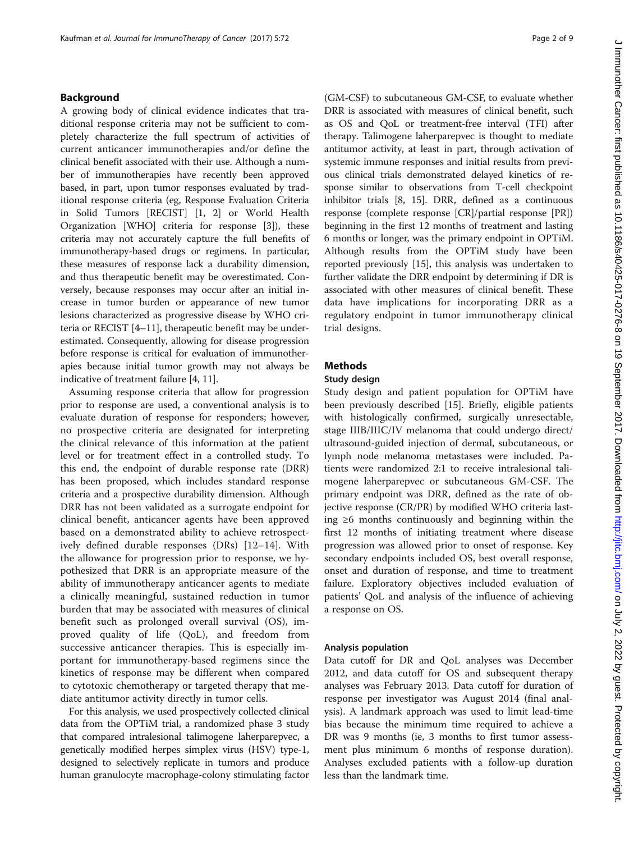## Background

A growing body of clinical evidence indicates that traditional response criteria may not be sufficient to completely characterize the full spectrum of activities of current anticancer immunotherapies and/or define the clinical benefit associated with their use. Although a number of immunotherapies have recently been approved based, in part, upon tumor responses evaluated by traditional response criteria (eg, Response Evaluation Criteria in Solid Tumors [RECIST] [\[1](#page-7-0), [2\]](#page-7-0) or World Health Organization [WHO] criteria for response [\[3](#page-7-0)]), these criteria may not accurately capture the full benefits of immunotherapy-based drugs or regimens. In particular, these measures of response lack a durability dimension, and thus therapeutic benefit may be overestimated. Conversely, because responses may occur after an initial increase in tumor burden or appearance of new tumor lesions characterized as progressive disease by WHO criteria or RECIST [[4](#page-8-0)–[11\]](#page-8-0), therapeutic benefit may be underestimated. Consequently, allowing for disease progression before response is critical for evaluation of immunotherapies because initial tumor growth may not always be indicative of treatment failure [[4, 11\]](#page-8-0).

Assuming response criteria that allow for progression prior to response are used, a conventional analysis is to evaluate duration of response for responders; however, no prospective criteria are designated for interpreting the clinical relevance of this information at the patient level or for treatment effect in a controlled study. To this end, the endpoint of durable response rate (DRR) has been proposed, which includes standard response criteria and a prospective durability dimension. Although DRR has not been validated as a surrogate endpoint for clinical benefit, anticancer agents have been approved based on a demonstrated ability to achieve retrospectively defined durable responses (DRs) [\[12](#page-8-0)–[14](#page-8-0)]. With the allowance for progression prior to response, we hypothesized that DRR is an appropriate measure of the ability of immunotherapy anticancer agents to mediate a clinically meaningful, sustained reduction in tumor burden that may be associated with measures of clinical benefit such as prolonged overall survival (OS), improved quality of life (QoL), and freedom from successive anticancer therapies. This is especially important for immunotherapy-based regimens since the kinetics of response may be different when compared to cytotoxic chemotherapy or targeted therapy that mediate antitumor activity directly in tumor cells.

For this analysis, we used prospectively collected clinical data from the OPTiM trial, a randomized phase 3 study that compared intralesional talimogene laherparepvec, a genetically modified herpes simplex virus (HSV) type-1, designed to selectively replicate in tumors and produce human granulocyte macrophage-colony stimulating factor J Immunother Cancer: first published as 10.1186/s40425-017-0276-8 on 19 September 2017. Downloaded from http://jitc.bm/ on July 2, 2022 by guest. Protected by copyright J mmunother Cancer: first published as 10.1196/s40425-017-0276-8 on 19 September 2017. Downloaded from <http://jitc.bmj.com/> on July 2, 2022 by guest. Protected by copyright.

(GM-CSF) to subcutaneous GM-CSF, to evaluate whether DRR is associated with measures of clinical benefit, such as OS and QoL or treatment-free interval (TFI) after therapy. Talimogene laherparepvec is thought to mediate antitumor activity, at least in part, through activation of systemic immune responses and initial results from previous clinical trials demonstrated delayed kinetics of response similar to observations from T-cell checkpoint inhibitor trials [[8, 15](#page-8-0)]. DRR, defined as a continuous response (complete response [CR]/partial response [PR]) beginning in the first 12 months of treatment and lasting 6 months or longer, was the primary endpoint in OPTiM. Although results from the OPTiM study have been reported previously [[15](#page-8-0)], this analysis was undertaken to further validate the DRR endpoint by determining if DR is associated with other measures of clinical benefit. These data have implications for incorporating DRR as a regulatory endpoint in tumor immunotherapy clinical trial designs.

## **Methods**

## Study design

Study design and patient population for OPTiM have been previously described [[15\]](#page-8-0). Briefly, eligible patients with histologically confirmed, surgically unresectable, stage IIIB/IIIC/IV melanoma that could undergo direct/ ultrasound-guided injection of dermal, subcutaneous, or lymph node melanoma metastases were included. Patients were randomized 2:1 to receive intralesional talimogene laherparepvec or subcutaneous GM-CSF. The primary endpoint was DRR, defined as the rate of objective response (CR/PR) by modified WHO criteria lasting ≥6 months continuously and beginning within the first 12 months of initiating treatment where disease progression was allowed prior to onset of response. Key secondary endpoints included OS, best overall response, onset and duration of response, and time to treatment failure. Exploratory objectives included evaluation of patients' QoL and analysis of the influence of achieving a response on OS.

### Analysis population

Data cutoff for DR and QoL analyses was December 2012, and data cutoff for OS and subsequent therapy analyses was February 2013. Data cutoff for duration of response per investigator was August 2014 (final analysis). A landmark approach was used to limit lead-time bias because the minimum time required to achieve a DR was 9 months (ie, 3 months to first tumor assessment plus minimum 6 months of response duration). Analyses excluded patients with a follow-up duration less than the landmark time.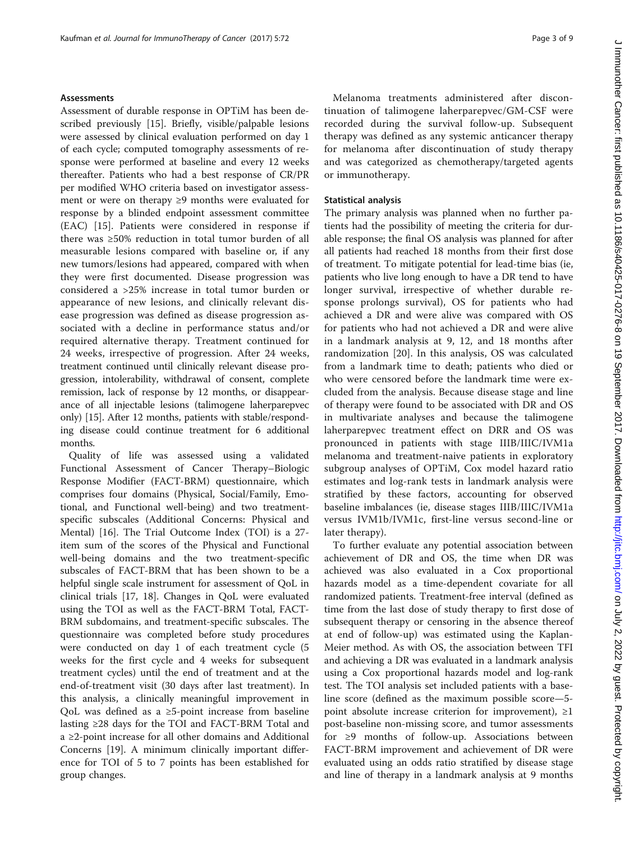## **Assessments**

Assessment of durable response in OPTiM has been described previously [[15\]](#page-8-0). Briefly, visible/palpable lesions were assessed by clinical evaluation performed on day 1 of each cycle; computed tomography assessments of response were performed at baseline and every 12 weeks thereafter. Patients who had a best response of CR/PR per modified WHO criteria based on investigator assessment or were on therapy  $\geq$ 9 months were evaluated for response by a blinded endpoint assessment committee (EAC) [\[15](#page-8-0)]. Patients were considered in response if there was ≥50% reduction in total tumor burden of all measurable lesions compared with baseline or, if any new tumors/lesions had appeared, compared with when they were first documented. Disease progression was considered a >25% increase in total tumor burden or appearance of new lesions, and clinically relevant disease progression was defined as disease progression associated with a decline in performance status and/or required alternative therapy. Treatment continued for 24 weeks, irrespective of progression. After 24 weeks, treatment continued until clinically relevant disease progression, intolerability, withdrawal of consent, complete remission, lack of response by 12 months, or disappearance of all injectable lesions (talimogene laherparepvec only) [\[15\]](#page-8-0). After 12 months, patients with stable/responding disease could continue treatment for 6 additional months.

Quality of life was assessed using a validated Functional Assessment of Cancer Therapy–Biologic Response Modifier (FACT-BRM) questionnaire, which comprises four domains (Physical, Social/Family, Emotional, and Functional well-being) and two treatmentspecific subscales (Additional Concerns: Physical and Mental) [\[16](#page-8-0)]. The Trial Outcome Index (TOI) is a 27 item sum of the scores of the Physical and Functional well-being domains and the two treatment-specific subscales of FACT-BRM that has been shown to be a helpful single scale instrument for assessment of QoL in clinical trials [[17, 18](#page-8-0)]. Changes in QoL were evaluated using the TOI as well as the FACT-BRM Total, FACT-BRM subdomains, and treatment-specific subscales. The questionnaire was completed before study procedures were conducted on day 1 of each treatment cycle (5 weeks for the first cycle and 4 weeks for subsequent treatment cycles) until the end of treatment and at the end-of-treatment visit (30 days after last treatment). In this analysis, a clinically meaningful improvement in QoL was defined as a  $\geq$ 5-point increase from baseline lasting ≥28 days for the TOI and FACT-BRM Total and a ≥2-point increase for all other domains and Additional Concerns [\[19](#page-8-0)]. A minimum clinically important difference for TOI of 5 to 7 points has been established for group changes.

Melanoma treatments administered after discontinuation of talimogene laherparepvec/GM-CSF were recorded during the survival follow-up. Subsequent therapy was defined as any systemic anticancer therapy for melanoma after discontinuation of study therapy and was categorized as chemotherapy/targeted agents or immunotherapy.

## Statistical analysis

The primary analysis was planned when no further patients had the possibility of meeting the criteria for durable response; the final OS analysis was planned for after all patients had reached 18 months from their first dose of treatment. To mitigate potential for lead-time bias (ie, patients who live long enough to have a DR tend to have longer survival, irrespective of whether durable response prolongs survival), OS for patients who had achieved a DR and were alive was compared with OS for patients who had not achieved a DR and were alive in a landmark analysis at 9, 12, and 18 months after randomization [\[20](#page-8-0)]. In this analysis, OS was calculated from a landmark time to death; patients who died or who were censored before the landmark time were excluded from the analysis. Because disease stage and line of therapy were found to be associated with DR and OS in multivariate analyses and because the talimogene laherparepvec treatment effect on DRR and OS was pronounced in patients with stage IIIB/IIIC/IVM1a melanoma and treatment-naive patients in exploratory subgroup analyses of OPTiM, Cox model hazard ratio estimates and log-rank tests in landmark analysis were stratified by these factors, accounting for observed baseline imbalances (ie, disease stages IIIB/IIIC/IVM1a versus IVM1b/IVM1c, first-line versus second-line or later therapy).

To further evaluate any potential association between achievement of DR and OS, the time when DR was achieved was also evaluated in a Cox proportional hazards model as a time-dependent covariate for all randomized patients. Treatment-free interval (defined as time from the last dose of study therapy to first dose of subsequent therapy or censoring in the absence thereof at end of follow-up) was estimated using the Kaplan-Meier method. As with OS, the association between TFI and achieving a DR was evaluated in a landmark analysis using a Cox proportional hazards model and log-rank test. The TOI analysis set included patients with a baseline score (defined as the maximum possible score—5 point absolute increase criterion for improvement),  $\geq 1$ post-baseline non-missing score, and tumor assessments for ≥9 months of follow-up. Associations between FACT-BRM improvement and achievement of DR were evaluated using an odds ratio stratified by disease stage and line of therapy in a landmark analysis at 9 months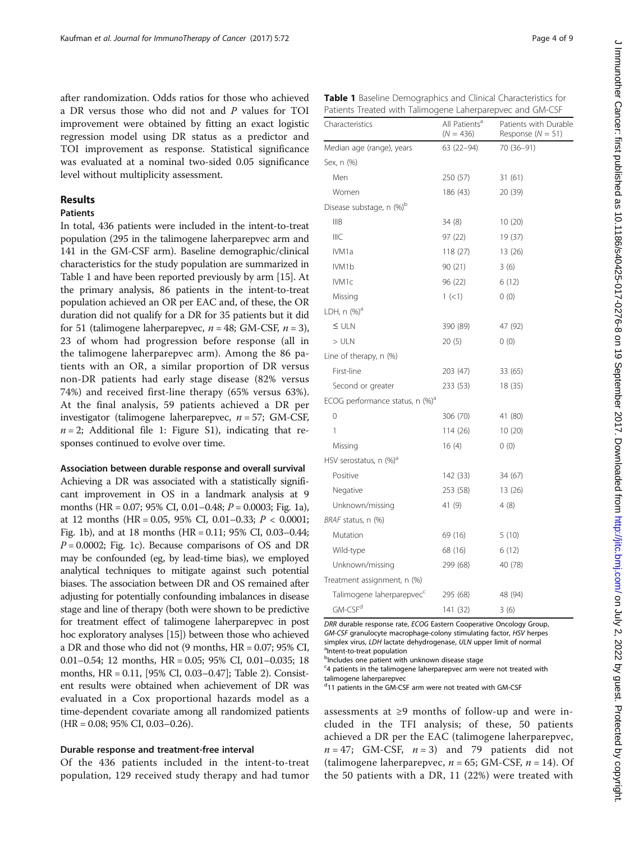after randomization. Odds ratios for those who achieved a DR versus those who did not and P values for TOI improvement were obtained by fitting an exact logistic regression model using DR status as a predictor and TOI improvement as response. Statistical significance was evaluated at a nominal two-sided 0.05 significance level without multiplicity assessment.

## Results

## Patients

In total, 436 patients were included in the intent-to-treat population (295 in the talimogene laherparepvec arm and 141 in the GM-CSF arm). Baseline demographic/clinical characteristics for the study population are summarized in Table 1 and have been reported previously by arm [\[15\]](#page-8-0). At the primary analysis, 86 patients in the intent-to-treat population achieved an OR per EAC and, of these, the OR duration did not qualify for a DR for 35 patients but it did for 51 (talimogene laherparepvec,  $n = 48$ ; GM-CSF,  $n = 3$ ), 23 of whom had progression before response (all in the talimogene laherparepvec arm). Among the 86 patients with an OR, a similar proportion of DR versus non-DR patients had early stage disease (82% versus 74%) and received first-line therapy (65% versus 63%). At the final analysis, 59 patients achieved a DR per investigator (talimogene laherparepvec,  $n = 57$ ; GM-CSF,  $n = 2$ ; Additional file [1](#page-7-0): Figure S1), indicating that responses continued to evolve over time.

#### Association between durable response and overall survival

Achieving a DR was associated with a statistically significant improvement in OS in a landmark analysis at 9 months (HR =  $0.07$ ; 95% CI, 0.01–0.48;  $P = 0.0003$ ; Fig. [1a](#page-4-0)), at 12 months (HR = 0.05, 95% CI, 0.01–0.33;  $P < 0.0001$ ; Fig. [1b\)](#page-4-0), and at 18 months (HR = 0.11; 95% CI, 0.03–0.44;  $P = 0.0002$ ; Fig. [1c\)](#page-4-0). Because comparisons of OS and DR may be confounded (eg, by lead-time bias), we employed analytical techniques to mitigate against such potential biases. The association between DR and OS remained after adjusting for potentially confounding imbalances in disease stage and line of therapy (both were shown to be predictive for treatment effect of talimogene laherparepvec in post hoc exploratory analyses [\[15\]](#page-8-0)) between those who achieved a DR and those who did not (9 months, HR = 0.07; 95% CI, 0.01–0.54; 12 months, HR = 0.05; 95% CI, 0.01–0.035; 18 months, HR = 0.11, [95% CI, 0.03–0.47]; Table [2\)](#page-5-0). Consistent results were obtained when achievement of DR was evaluated in a Cox proportional hazards model as a time-dependent covariate among all randomized patients (HR = 0.08; 95% CI, 0.03–0.26).

## Durable response and treatment-free interval

Of the 436 patients included in the intent-to-treat population, 129 received study therapy and had tumor

| Characteristics                             | All Patients <sup>a</sup><br>$(N = 436)$ | Patients with Durable<br>Response ( $N = 51$ ) |
|---------------------------------------------|------------------------------------------|------------------------------------------------|
| Median age (range), years                   | 63 (22–94)                               | 70 (36–91)                                     |
| Sex, n (%)                                  |                                          |                                                |
| Men                                         | 250 (57)                                 | 31(61)                                         |
| Women                                       | 186 (43)                                 | 20 (39)                                        |
| Disease substage, n (%) <sup>b</sup>        |                                          |                                                |
| <b>IIIB</b>                                 | 34 (8)                                   | 10(20)                                         |
| IIIC                                        | 97(22)                                   | 19 (37)                                        |
| IVM1a                                       | 118 (27)                                 | 13 (26)                                        |
| IVM <sub>1</sub> b                          | 90(21)                                   | 3(6)                                           |
| IVM <sub>1</sub> c                          | 96 (22)                                  | 6(12)                                          |
| Missing                                     | 1 (< 1)                                  | 0(0)                                           |
| LDH, $n$ $(\%)^d$                           |                                          |                                                |
| $\leq$ ULN                                  | 390 (89)                                 | 47 (92)                                        |
| > ULN                                       | 20(5)                                    | 0(0)                                           |
| Line of therapy, n (%)                      |                                          |                                                |
| First-line                                  | 203 (47)                                 | 33 (65)                                        |
| Second or greater                           | 233 (53)                                 | 18(35)                                         |
| ECOG performance status, n (%) <sup>d</sup> |                                          |                                                |
| 0                                           | 306 (70)                                 | 41 (80)                                        |
| 1                                           | 114(26)                                  | 10(20)                                         |
| Missing                                     | 16(4)                                    | 0(0)                                           |
| HSV serostatus, n (%) <sup>a</sup>          |                                          |                                                |
| Positive                                    | 142 (33)                                 | 34 (67)                                        |
| Negative                                    | 253 (58)                                 | 13 (26)                                        |
| Unknown/missing                             | 41 (9)                                   | 4(8)                                           |
| BRAF status, n (%)                          |                                          |                                                |
| Mutation                                    | 69 (16)                                  | 5(10)                                          |
| Wild-type                                   | 68 (16)                                  | 6(12)                                          |
| Unknown/missing                             | 299 (68)                                 | 40 (78)                                        |
| Treatment assignment, n (%)                 |                                          |                                                |
| Talimogene laherparepvec                    | 295 (68)                                 | 48 (94)                                        |
| GM-CSF <sup>d</sup>                         | 141 (32)                                 | 3(6)                                           |

DRR durable response rate, ECOG Eastern Cooperative Oncology Group, GM-CSF granulocyte macrophage-colony stimulating factor, HSV herpes simplex virus, LDH lactate dehydrogenase, ULN upper limit of normal <sup>a</sup>Intent-to-treat population

bIncludes one patient with unknown disease stage

<sup>c</sup>4 patients in the talimogene laherparepvec arm were not treated with talimogene laherparepvec

<sup>d</sup>11 patients in the GM-CSF arm were not treated with GM-CSF

assessments at ≥9 months of follow-up and were included in the TFI analysis; of these, 50 patients achieved a DR per the EAC (talimogene laherparepvec,  $n = 47$ ; GM-CSF,  $n = 3$ ) and 79 patients did not (talimogene laherparepvec,  $n = 65$ ; GM-CSF,  $n = 14$ ). Of the 50 patients with a DR, 11 (22%) were treated with

| Table 1 Baseline Demographics and Clinical Characteristics for |
|----------------------------------------------------------------|
| Patients Treated with Talimogene Laherparepvec and GM-CSF      |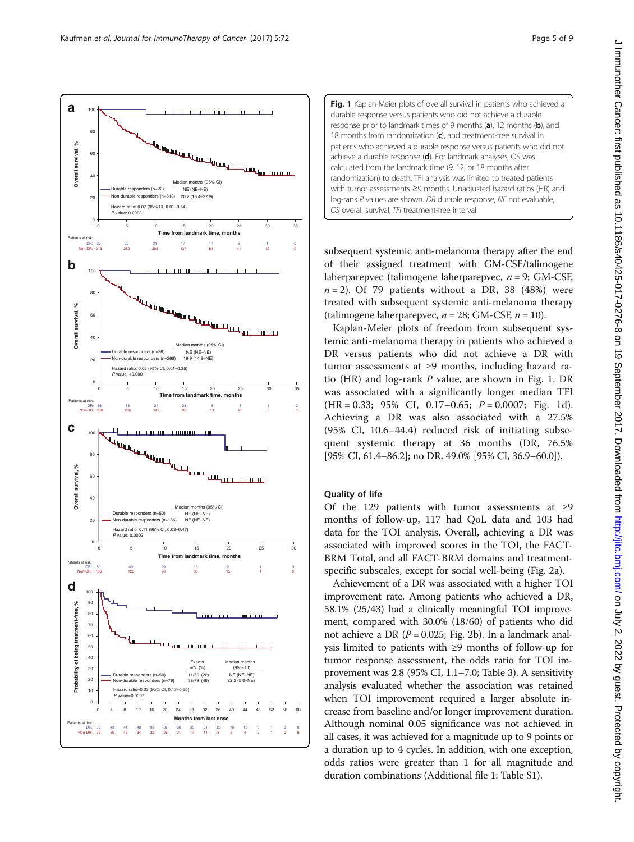

<span id="page-4-0"></span>

Fig. 1 Kaplan-Meier plots of overall survival in patients who achieved a durable response versus patients who did not achieve a durable response prior to landmark times of 9 months (a), 12 months (b), and 18 months from randomization (c), and treatment-free survival in patients who achieved a durable response versus patients who did not achieve a durable response (d). For landmark analyses, OS was calculated from the landmark time (9, 12, or 18 months after randomization) to death. TFI analysis was limited to treated patients with tumor assessments ≥9 months. Unadjusted hazard ratios (HR) and log-rank P values are shown. DR durable response, NE not evaluable, OS overall survival, TFI treatment-free interval

subsequent systemic anti-melanoma therapy after the end of their assigned treatment with GM-CSF/talimogene laherparepvec (talimogene laherparepvec,  $n = 9$ ; GM-CSF,  $n = 2$ ). Of 79 patients without a DR, 38 (48%) were treated with subsequent systemic anti-melanoma therapy (talimogene laherparepvec,  $n = 28$ ; GM-CSF,  $n = 10$ ).

Kaplan-Meier plots of freedom from subsequent systemic anti-melanoma therapy in patients who achieved a DR versus patients who did not achieve a DR with tumor assessments at ≥9 months, including hazard ratio (HR) and log-rank P value, are shown in Fig. 1. DR was associated with a significantly longer median TFI  $(HR = 0.33; 95\% \text{ CI}, 0.17-0.65; P = 0.0007; Fig. 1d).$ Achieving a DR was also associated with a 27.5% (95% CI, 10.6–44.4) reduced risk of initiating subsequent systemic therapy at 36 months (DR, 76.5% [95% CI, 61.4–86.2]; no DR, 49.0% [95% CI, 36.9–60.0]).

## Quality of life

Of the 129 patients with tumor assessments at ≥9 months of follow-up, 117 had QoL data and 103 had data for the TOI analysis. Overall, achieving a DR was associated with improved scores in the TOI, the FACT-BRM Total, and all FACT-BRM domains and treatmentspecific subscales, except for social well-being (Fig. [2a](#page-5-0)).

Achievement of a DR was associated with a higher TOI improvement rate. Among patients who achieved a DR, 58.1% (25/43) had a clinically meaningful TOI improvement, compared with 30.0% (18/60) of patients who did not achieve a DR ( $P = 0.025$ ; Fig. [2b\)](#page-5-0). In a landmark analysis limited to patients with ≥9 months of follow-up for tumor response assessment, the odds ratio for TOI improvement was 2.8 (95% CI, 1.1–7.0; Table [3\)](#page-6-0). A sensitivity analysis evaluated whether the association was retained when TOI improvement required a larger absolute increase from baseline and/or longer improvement duration. Although nominal 0.05 significance was not achieved in all cases, it was achieved for a magnitude up to 9 points or a duration up to 4 cycles. In addition, with one exception, odds ratios were greater than 1 for all magnitude and duration combinations (Additional file [1:](#page-7-0) Table S1).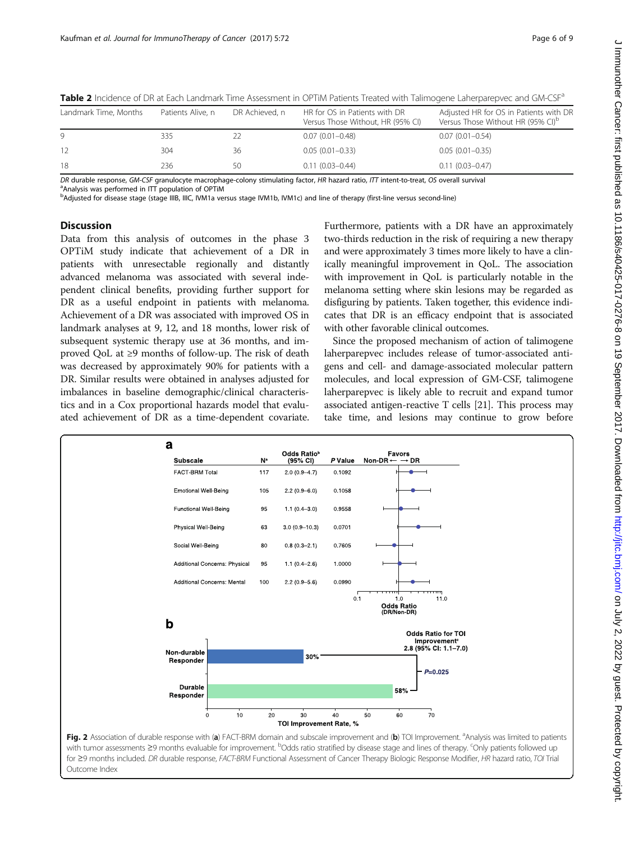| Landmark Time, Months | Patients Alive, n | DR Achieved, n | HR for OS in Patients with DR<br>Versus Those Without, HR (95% CI) | Adjusted HR for OS in Patients with DF<br>Versus Those Without HR (95% CI) <sup>b</sup> |  |
|-----------------------|-------------------|----------------|--------------------------------------------------------------------|-----------------------------------------------------------------------------------------|--|
| Q                     | 335               |                | $0.07(0.01 - 0.48)$                                                | $0.07(0.01 - 0.54)$                                                                     |  |
| 12                    | 304               | 36             | $0.05(0.01 - 0.33)$                                                | $0.05(0.01 - 0.35)$                                                                     |  |
| 18                    | 236               | 50             | $0.11(0.03 - 0.44)$                                                | $0.11(0.03 - 0.47)$                                                                     |  |

<span id="page-5-0"></span>Table 2 Incidence of DR at Each Landmark Time Assessment in OPTIM Patients Treated with Talimogene Laherparepvec and GM-CSF<sup>a</sup>

DR durable response, GM-CSF granulocyte macrophage-colony stimulating factor, HR hazard ratio, ITT intent-to-treat, OS overall survival Analysis was performed in ITT population of OPTiM

b<br>Adjusted for disease stage (stage IIIB, IIIC, IVM1a versus stage IVM1b, IVM1c) and line of therapy (first-line versus second-line)

## **Discussion**

Data from this analysis of outcomes in the phase 3 OPTiM study indicate that achievement of a DR in patients with unresectable regionally and distantly advanced melanoma was associated with several independent clinical benefits, providing further support for DR as a useful endpoint in patients with melanoma. Achievement of a DR was associated with improved OS in landmark analyses at 9, 12, and 18 months, lower risk of subsequent systemic therapy use at 36 months, and improved QoL at ≥9 months of follow-up. The risk of death was decreased by approximately 90% for patients with a DR. Similar results were obtained in analyses adjusted for imbalances in baseline demographic/clinical characteristics and in a Cox proportional hazards model that evaluated achievement of DR as a time-dependent covariate. Furthermore, patients with a DR have an approximately two-thirds reduction in the risk of requiring a new therapy and were approximately 3 times more likely to have a clinically meaningful improvement in QoL. The association with improvement in QoL is particularly notable in the melanoma setting where skin lesions may be regarded as disfiguring by patients. Taken together, this evidence indicates that DR is an efficacy endpoint that is associated with other favorable clinical outcomes.

Since the proposed mechanism of action of talimogene laherparepvec includes release of tumor-associated antigens and cell- and damage-associated molecular pattern molecules, and local expression of GM-CSF, talimogene laherparepvec is likely able to recruit and expand tumor associated antigen-reactive T cells [[21](#page-8-0)]. This process may take time, and lesions may continue to grow before



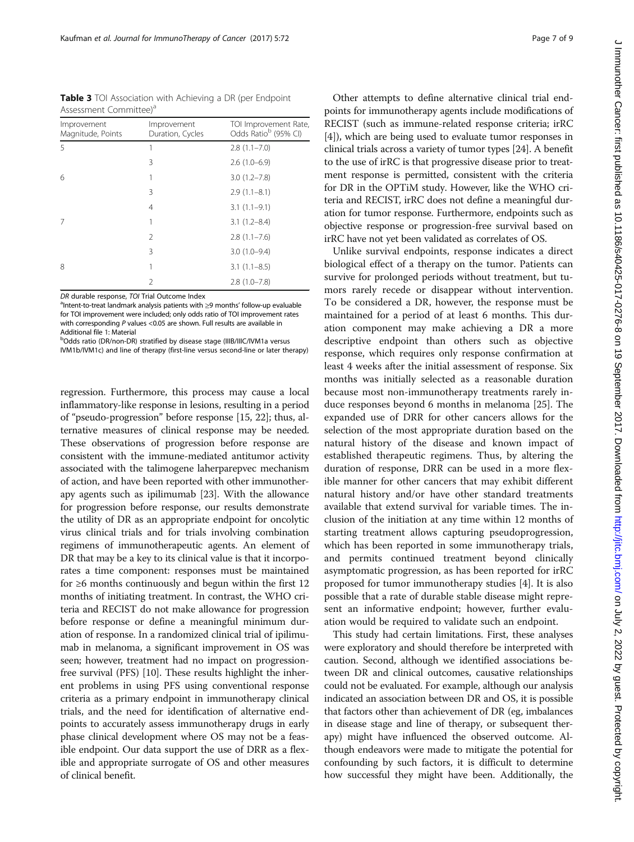DR durable response, TOI Trial Outcome Index <sup>a</sup>Intent-to-treat landmark analysis patients with ≥9 months' follow-up evaluable for TOI improvement were included; only odds ratio of TOI improvement rates with corresponding P values <0.05 are shown. Full results are available in

Additional file [1:](#page-7-0) Material <sup>b</sup>

<sup>b</sup>Odds ratio (DR/non-DR) stratified by disease stage (IIIB/IIIC/IVM1a versus IVM1b/IVM1c) and line of therapy (first-line versus second-line or later therapy)

regression. Furthermore, this process may cause a local inflammatory-like response in lesions, resulting in a period of "pseudo-progression" before response [\[15, 22\]](#page-8-0); thus, alternative measures of clinical response may be needed. These observations of progression before response are consistent with the immune-mediated antitumor activity associated with the talimogene laherparepvec mechanism of action, and have been reported with other immunotherapy agents such as ipilimumab [\[23\]](#page-8-0). With the allowance for progression before response, our results demonstrate the utility of DR as an appropriate endpoint for oncolytic virus clinical trials and for trials involving combination regimens of immunotherapeutic agents. An element of DR that may be a key to its clinical value is that it incorporates a time component: responses must be maintained for  $\geq 6$  months continuously and begun within the first 12 months of initiating treatment. In contrast, the WHO criteria and RECIST do not make allowance for progression before response or define a meaningful minimum duration of response. In a randomized clinical trial of ipilimumab in melanoma, a significant improvement in OS was seen; however, treatment had no impact on progressionfree survival (PFS) [\[10\]](#page-8-0). These results highlight the inherent problems in using PFS using conventional response criteria as a primary endpoint in immunotherapy clinical trials, and the need for identification of alternative endpoints to accurately assess immunotherapy drugs in early phase clinical development where OS may not be a feasible endpoint. Our data support the use of DRR as a flexible and appropriate surrogate of OS and other measures of clinical benefit.

Other attempts to define alternative clinical trial endpoints for immunotherapy agents include modifications of RECIST (such as immune-related response criteria; irRC [[4\]](#page-8-0)), which are being used to evaluate tumor responses in clinical trials across a variety of tumor types [\[24](#page-8-0)]. A benefit to the use of irRC is that progressive disease prior to treatment response is permitted, consistent with the criteria for DR in the OPTiM study. However, like the WHO criteria and RECIST, irRC does not define a meaningful duration for tumor response. Furthermore, endpoints such as objective response or progression-free survival based on irRC have not yet been validated as correlates of OS.

Unlike survival endpoints, response indicates a direct biological effect of a therapy on the tumor. Patients can survive for prolonged periods without treatment, but tumors rarely recede or disappear without intervention. To be considered a DR, however, the response must be maintained for a period of at least 6 months. This duration component may make achieving a DR a more descriptive endpoint than others such as objective response, which requires only response confirmation at least 4 weeks after the initial assessment of response. Six months was initially selected as a reasonable duration because most non-immunotherapy treatments rarely induce responses beyond 6 months in melanoma [\[25](#page-8-0)]. The expanded use of DRR for other cancers allows for the selection of the most appropriate duration based on the natural history of the disease and known impact of established therapeutic regimens. Thus, by altering the duration of response, DRR can be used in a more flexible manner for other cancers that may exhibit different natural history and/or have other standard treatments available that extend survival for variable times. The inclusion of the initiation at any time within 12 months of starting treatment allows capturing pseudoprogression, which has been reported in some immunotherapy trials, and permits continued treatment beyond clinically asymptomatic progression, as has been reported for irRC proposed for tumor immunotherapy studies [[4\]](#page-8-0). It is also possible that a rate of durable stable disease might represent an informative endpoint; however, further evaluation would be required to validate such an endpoint.

This study had certain limitations. First, these analyses were exploratory and should therefore be interpreted with caution. Second, although we identified associations between DR and clinical outcomes, causative relationships could not be evaluated. For example, although our analysis indicated an association between DR and OS, it is possible that factors other than achievement of DR (eg, imbalances in disease stage and line of therapy, or subsequent therapy) might have influenced the observed outcome. Although endeavors were made to mitigate the potential for confounding by such factors, it is difficult to determine how successful they might have been. Additionally, the

<span id="page-6-0"></span>Table 3 TOI Association with Achieving a DR (per Endpoint Assessment Committee)<sup>a</sup>

| Improvement<br>Magnitude, Points | Improvement<br>Duration, Cycles | TOI Improvement Rate,<br>Odds Ratio <sup>b</sup> (95% CI) |
|----------------------------------|---------------------------------|-----------------------------------------------------------|
| 5                                |                                 | $2.8(1.1 - 7.0)$                                          |
|                                  | 3                               | $2.6(1.0-6.9)$                                            |
| 6                                |                                 | $3.0(1.2 - 7.8)$                                          |
|                                  | 3                               | $2.9(1.1-8.1)$                                            |
|                                  | 4                               | $3.1(1.1-9.1)$                                            |
|                                  |                                 | $3.1(1.2 - 8.4)$                                          |
|                                  | 2                               | $2.8(1.1 - 7.6)$                                          |
|                                  | 3                               | $3.0(1.0-9.4)$                                            |
| 8                                |                                 | $3.1(1.1 - 8.5)$                                          |
|                                  | $\mathcal{P}$                   | $2.8(1.0 - 7.8)$                                          |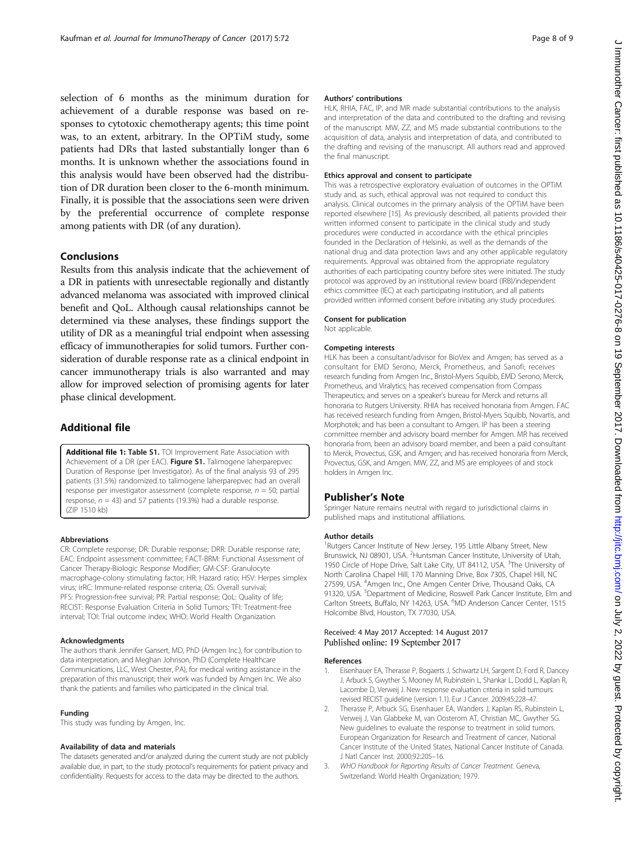<span id="page-7-0"></span>selection of 6 months as the minimum duration for achievement of a durable response was based on responses to cytotoxic chemotherapy agents; this time point was, to an extent, arbitrary. In the OPTiM study, some patients had DRs that lasted substantially longer than 6 months. It is unknown whether the associations found in this analysis would have been observed had the distribution of DR duration been closer to the 6-month minimum. Finally, it is possible that the associations seen were driven by the preferential occurrence of complete response among patients with DR (of any duration).

## Conclusions

Results from this analysis indicate that the achievement of a DR in patients with unresectable regionally and distantly advanced melanoma was associated with improved clinical benefit and QoL. Although causal relationships cannot be determined via these analyses, these findings support the utility of DR as a meaningful trial endpoint when assessing efficacy of immunotherapies for solid tumors. Further consideration of durable response rate as a clinical endpoint in cancer immunotherapy trials is also warranted and may allow for improved selection of promising agents for later phase clinical development.

## Additional file

[Additional file 1:](dx.doi.org/10.1186/s40425-017-0276-8) Table S1. TOI Improvement Rate Association with Achievement of a DR (per EAC). Figure S1. Talimogene laherparepvec Duration of Response (per Investigator). As of the final analysis 93 of 295 patients (31.5%) randomized to talimogene laherparepvec had an overall response per investigator assessment (complete response,  $n = 50$ ; partial response,  $n = 43$ ) and 57 patients (19.3%) had a durable response. (ZIP 1510 kb)

#### Abbreviations

CR: Complete response; DR: Durable response; DRR: Durable response rate; EAC: Endpoint assessment committee; FACT-BRM: Functional Assessment of Cancer Therapy-Biologic Response Modifier; GM-CSF: Granulocyte macrophage-colony stimulating factor; HR: Hazard ratio; HSV: Herpes simplex virus; irRC: Immune-related response criteria; OS: Overall survival; PFS: Progression-free survival; PR: Partial response; QoL: Quality of life; RECIST: Response Evaluation Criteria in Solid Tumors; TFI: Treatment-free interval; TOI: Trial outcome index; WHO: World Health Organization

#### Acknowledgments

The authors thank Jennifer Gansert, MD, PhD (Amgen Inc.), for contribution to data interpretation, and Meghan Johnson, PhD (Complete Healthcare Communications, LLC, West Chester, PA), for medical writing assistance in the preparation of this manuscript; their work was funded by Amgen Inc. We also thank the patients and families who participated in the clinical trial.

#### Funding

This study was funding by Amgen, Inc.

#### Availability of data and materials

The datasets generated and/or analyzed during the current study are not publicly available due, in part, to the study protocol's requirements for patient privacy and confidentiality. Requests for access to the data may be directed to the authors.

#### Authors' contributions

HLK, RHIA, FAC, IP, and MR made substantial contributions to the analysis and interpretation of the data and contributed to the drafting and revising of the manuscript. MW, ZZ, and MS made substantial contributions to the acquisition of data, analysis and interpretation of data, and contributed to the drafting and revising of the manuscript. All authors read and approved the final manuscript.

#### Ethics approval and consent to participate

This was a retrospective exploratory evaluation of outcomes in the OPTiM study and, as such, ethical approval was not required to conduct this analysis. Clinical outcomes in the primary analysis of the OPTiM have been reported elsewhere [\[15\]](#page-8-0). As previously described, all patients provided their written informed consent to participate in the clinical study and study procedures were conducted in accordance with the ethical principles founded in the Declaration of Helsinki, as well as the demands of the national drug and data protection laws and any other applicable regulatory requirements. Approval was obtained from the appropriate regulatory authorities of each participating country before sites were initiated. The study protocol was approved by an institutional review board (IRB)/independent ethics committee (IEC) at each participating institution, and all patients provided written informed consent before initiating any study procedures.

## Consent for publication

Not applicable.

## Competing interests

HLK has been a consultant/advisor for BioVex and Amgen; has served as a consultant for EMD Serono, Merck, Prometheus, and Sanofi; receives research funding from Amgen Inc., Bristol-Myers Squibb, EMD Serono, Merck, Prometheus, and Viralytics; has received compensation from Compass Therapeutics; and serves on a speaker's bureau for Merck and returns all honoraria to Rutgers University. RHIA has received honoraria from Amgen. FAC has received research funding from Amgen, Bristol-Myers Squibb, Novartis, and Morphotek; and has been a consultant to Amgen. IP has been a steering committee member and advisory board member for Amgen. MR has received honoraria from, been an advisory board member, and been a paid consultant to Merck, Provectus, GSK, and Amgen; and has received honoraria from Merck, Provectus, GSK, and Amgen. MW, ZZ, and MS are employees of and stock holders in Amgen Inc.

## Publisher's Note

Springer Nature remains neutral with regard to jurisdictional claims in published maps and institutional affiliations.

#### Author details

<sup>1</sup>Rutgers Cancer Institute of New Jersey, 195 Little Albany Street, New Brunswick, NJ 08901, USA. <sup>2</sup> Huntsman Cancer Institute, University of Utah, 1950 Circle of Hope Drive, Salt Lake City, UT 84112, USA. <sup>3</sup>The University of North Carolina Chapel Hill, 170 Manning Drive, Box 7305, Chapel Hill, NC 27599, USA. <sup>4</sup>Amgen Inc., One Amgen Center Drive, Thousand Oaks, CA 91320, USA. <sup>5</sup>Department of Medicine, Roswell Park Cancer Institute, Elm and Carlton Streets, Buffalo, NY 14263, USA. <sup>6</sup>MD Anderson Cancer Center, 1515 Holcombe Blvd, Houston, TX 77030, USA.

## Received: 4 May 2017 Accepted: 14 August 2017 Published online: 19 September 2017

#### References

- 1. Eisenhauer EA, Therasse P, Bogaerts J, Schwartz LH, Sargent D, Ford R, Dancey J, Arbuck S, Gwyther S, Mooney M, Rubinstein L, Shankar L, Dodd L, Kaplan R, Lacombe D, Verweij J. New response evaluation criteria in solid tumours: revised RECIST guideline (version 1.1). Eur J Cancer. 2009;45:228–47.
- 2. Therasse P, Arbuck SG, Eisenhauer EA, Wanders J, Kaplan RS, Rubinstein L, Verweij J, Van Glabbeke M, van Oosterom AT, Christian MC, Gwyther SG. New guidelines to evaluate the response to treatment in solid tumors. European Organization for Research and Treatment of cancer, National Cancer Institute of the United States, National Cancer Institute of Canada. J Natl Cancer Inst. 2000;92:205–16.
- 3. WHO Handbook for Reporting Results of Cancer Treatment. Geneva, Switzerland: World Health Organization; 1979.